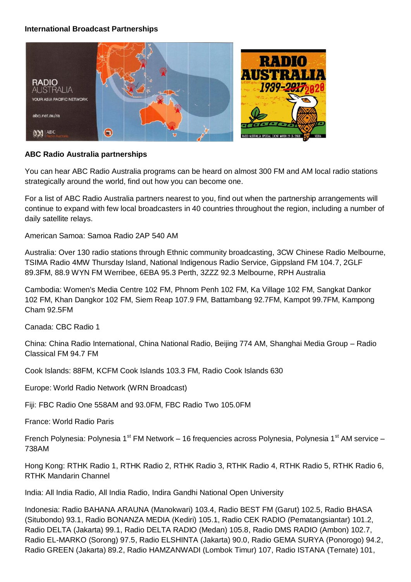# **International Broadcast Partnerships**



### **ABC Radio Australia partnerships**

You can hear ABC Radio Australia programs can be heard on almost 300 FM and AM local radio stations strategically around the world, find out how you can become one.

For a list of ABC Radio Australia partners nearest to you, find out when the partnership arrangements will continue to expand with few local broadcasters in 40 countries throughout the region, including a number of daily satellite relays.

American Samoa: Samoa Radio 2AP 540 AM

Australia: Over 130 radio stations through Ethnic community broadcasting, 3CW Chinese Radio Melbourne, TSIMA Radio 4MW Thursday Island, National Indigenous Radio Service, Gippsland FM 104.7, 2GLF 89.3FM, 88.9 WYN FM Werribee, 6EBA 95.3 Perth, 3ZZZ 92.3 Melbourne, RPH Australia

Cambodia: Women's Media Centre 102 FM, Phnom Penh 102 FM, Ka Village 102 FM, Sangkat Dankor 102 FM, Khan Dangkor 102 FM, Siem Reap 107.9 FM, Battambang 92.7FM, Kampot 99.7FM, Kampong Cham 92.5FM

Canada: CBC Radio 1

China: China Radio International, China National Radio, Beijing 774 AM, Shanghai Media Group – Radio Classical FM 94.7 FM

Cook Islands: 88FM, KCFM Cook Islands 103.3 FM, Radio Cook Islands 630

Europe: World Radio Network (WRN Broadcast)

Fiji: FBC Radio One 558AM and 93.0FM, FBC Radio Two 105.0FM

France: World Radio Paris

French Polynesia: Polynesia 1<sup>st</sup> FM Network – 16 frequencies across Polynesia, Polynesia 1<sup>st</sup> AM service – 738AM

Hong Kong: RTHK Radio 1, RTHK Radio 2, RTHK Radio 3, RTHK Radio 4, RTHK Radio 5, RTHK Radio 6, RTHK Mandarin Channel

India: All India Radio, All India Radio, Indira Gandhi National Open University

Indonesia: Radio BAHANA ARAUNA (Manokwari) 103.4, Radio BEST FM (Garut) 102.5, Radio BHASA (Situbondo) 93.1, Radio BONANZA MEDIA (Kediri) 105.1, Radio CEK RADIO (Pematangsiantar) 101.2, Radio DELTA (Jakarta) 99.1, Radio DELTA RADIO (Medan) 105.8, Radio DMS RADIO (Ambon) 102.7, Radio EL-MARKO (Sorong) 97.5, Radio ELSHINTA (Jakarta) 90.0, Radio GEMA SURYA (Ponorogo) 94.2, Radio GREEN (Jakarta) 89.2, Radio HAMZANWADI (Lombok Timur) 107, Radio ISTANA (Ternate) 101,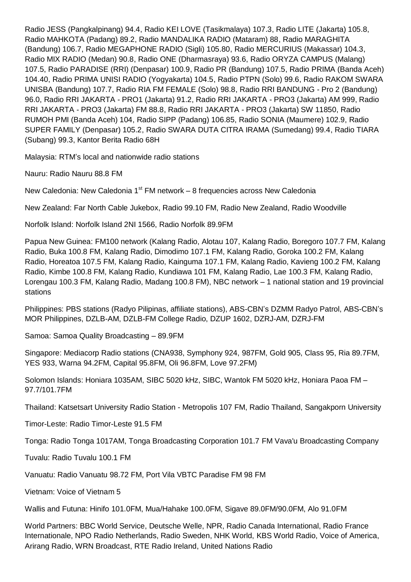Radio JESS (Pangkalpinang) 94.4, Radio KEI LOVE (Tasikmalaya) 107.3, Radio LITE (Jakarta) 105.8, Radio MAHKOTA (Padang) 89.2, Radio MANDALIKA RADIO (Mataram) 88, Radio MARAGHITA (Bandung) 106.7, Radio MEGAPHONE RADIO (Sigli) 105.80, Radio MERCURIUS (Makassar) 104.3, Radio MIX RADIO (Medan) 90.8, Radio ONE (Dharmasraya) 93.6, Radio ORYZA CAMPUS (Malang) 107.5, Radio PARADISE (RRI) (Denpasar) 100.9, Radio PR (Bandung) 107.5, Radio PRIMA (Banda Aceh) 104.40, Radio PRIMA UNISI RADIO (Yogyakarta) 104.5, Radio PTPN (Solo) 99.6, Radio RAKOM SWARA UNISBA (Bandung) 107.7, Radio RIA FM FEMALE (Solo) 98.8, Radio RRI BANDUNG - Pro 2 (Bandung) 96.0, Radio RRI JAKARTA - PRO1 (Jakarta) 91.2, Radio RRI JAKARTA - PRO3 (Jakarta) AM 999, Radio RRI JAKARTA - PRO3 (Jakarta) FM 88.8, Radio RRI JAKARTA - PRO3 (Jakarta) SW 11850, Radio RUMOH PMI (Banda Aceh) 104, Radio SIPP (Padang) 106.85, Radio SONIA (Maumere) 102.9, Radio SUPER FAMILY (Denpasar) 105.2, Radio SWARA DUTA CITRA IRAMA (Sumedang) 99.4, Radio TIARA (Subang) 99.3, Kantor Berita Radio 68H

Malaysia: RTM's local and nationwide radio stations

Nauru: Radio Nauru 88.8 FM

New Caledonia: New Caledonia 1<sup>st</sup> FM network – 8 frequencies across New Caledonia

New Zealand: Far North Cable Jukebox, Radio 99.10 FM, Radio New Zealand, Radio Woodville

Norfolk Island: Norfolk Island 2NI 1566, Radio Norfolk 89.9FM

Papua New Guinea: FM100 network (Kalang Radio, Alotau 107, Kalang Radio, Boregoro 107.7 FM, Kalang Radio, Buka 100.8 FM, Kalang Radio, Dimodimo 107.1 FM, Kalang Radio, Goroka 100.2 FM, Kalang Radio, Horeatoa 107.5 FM, Kalang Radio, Kainguma 107.1 FM, Kalang Radio, Kavieng 100.2 FM, Kalang Radio, Kimbe 100.8 FM, Kalang Radio, Kundiawa 101 FM, Kalang Radio, Lae 100.3 FM, Kalang Radio, Lorengau 100.3 FM, Kalang Radio, Madang 100.8 FM), NBC network – 1 national station and 19 provincial stations

Philippines: PBS stations (Radyo Pilipinas, affiliate stations), ABS-CBN's DZMM Radyo Patrol, ABS-CBN's MOR Philippines, DZLB-AM, DZLB-FM College Radio, DZUP 1602, DZRJ-AM, DZRJ-FM

Samoa: Samoa Quality Broadcasting – 89.9FM

Singapore: Mediacorp Radio stations (CNA938, Symphony 924, 987FM, Gold 905, Class 95, Ria 89.7FM, YES 933, Warna 94.2FM, Capital 95.8FM, Oli 96.8FM, Love 97.2FM)

Solomon Islands: Honiara 1035AM, SIBC 5020 kHz, SIBC, Wantok FM 5020 kHz, Honiara Paoa FM – 97.7/101.7FM

Thailand: Katsetsart University Radio Station - Metropolis 107 FM, Radio Thailand, Sangakporn University

Timor-Leste: Radio Timor-Leste 91.5 FM

Tonga: Radio Tonga 1017AM, Tonga Broadcasting Corporation 101.7 FM Vava'u Broadcasting Company

Tuvalu: Radio Tuvalu 100.1 FM

Vanuatu: Radio Vanuatu 98.72 FM, Port Vila VBTC Paradise FM 98 FM

Vietnam: Voice of Vietnam 5

Wallis and Futuna: Hinifo 101.0FM, Mua/Hahake 100.0FM, Sigave 89.0FM/90.0FM, Alo 91.0FM

World Partners: BBC World Service, Deutsche Welle, NPR, Radio Canada International, Radio France Internationale, NPO Radio Netherlands, Radio Sweden, NHK World, KBS World Radio, Voice of America, Arirang Radio, WRN Broadcast, RTE Radio Ireland, United Nations Radio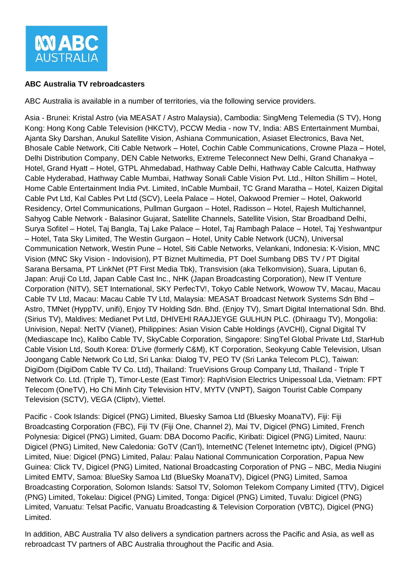

### **ABC Australia TV rebroadcasters**

ABC Australia is available in a number of territories, via the following service providers.

Asia - Brunei: Kristal Astro (via MEASAT / Astro Malaysia), Cambodia: SingMeng Telemedia (S TV), Hong Kong: Hong Kong Cable Television (HKCTV), PCCW Media - now TV, India: ABS Entertainment Mumbai, Ajanta Sky Darshan, Anukul Satellite Vision, Ashiana Communication, Asiaset Electronics, Bava Net, Bhosale Cable Network, Citi Cable Network – Hotel, Cochin Cable Communications, Crowne Plaza – Hotel, Delhi Distribution Company, DEN Cable Networks, Extreme Teleconnect New Delhi, Grand Chanakya – Hotel, Grand Hyatt – Hotel, GTPL Ahmedabad, Hathway Cable Delhi, Hathway Cable Calcutta, Hathway Cable Hyderabad, Hathway Cable Mumbai, Hathway Sonali Cable Vision Pvt. Ltd., Hilton Shillim – Hotel, Home Cable Entertainment India Pvt. Limited, InCable MumbaiI, TC Grand Maratha – Hotel, Kaizen Digital Cable Pvt Ltd, Kal Cables Pvt Ltd (SCV), Leela Palace – Hotel, Oakwood Premier – Hotel, Oakworld Residency, Ortel Communications, Pullman Gurgaon – Hotel, Radisson – Hotel, Rajesh Multichannel, Sahyog Cable Network - Balasinor Gujarat, Satellite Channels, Satellite Vision, Star Broadband Delhi, Surya Sofitel – Hotel, Taj Bangla, Taj Lake Palace – Hotel, Taj Rambagh Palace – Hotel, Taj Yeshwantpur – Hotel, Tata Sky Limited, The Westin Gurgaon – Hotel, Unity Cable Network (UCN), Universal Communication Network, Westin Pune – Hotel, Siti Cable Networks, Velankani, Indonesia: K-Vision, MNC Vision (MNC Sky Vision - Indovision), PT Biznet Multimedia, PT Doel Sumbang DBS TV / PT Digital Sarana Bersama, PT LinkNet (PT First Media Tbk), Transvision (aka Telkomvision), Suara, Liputan 6, Japan: Aruji Co Ltd, Japan Cable Cast Inc., NHK (Japan Broadcasting Corporation), New IT Venture Corporation (NITV), SET International, SKY PerfecTV!, Tokyo Cable Network, Wowow TV, Macau, Macau Cable TV Ltd, Macau: Macau Cable TV Ltd, Malaysia: MEASAT Broadcast Network Systems Sdn Bhd – Astro, TMNet (HyppTV, unifi), Enjoy TV Holding Sdn. Bhd. (Enjoy TV), Smart Digital International Sdn. Bhd. (Sirius TV), Maldives: Medianet Pvt Ltd, DHIVEHI RAAJJEYGE GULHUN PLC. (Dhiraagu TV), Mongolia: Univision, Nepal: NetTV (Vianet), Philippines: Asian Vision Cable Holdings (AVCHI), Cignal Digital TV (Mediascape Inc), Kalibo Cable TV, SkyCable Corporation, Singapore: SingTel Global Private Ltd, StarHub Cable Vision Ltd, South Korea: D'Live (formerly C&M), KT Corporation, Seokyung Cable Television, Ulsan Joongang Cable Network Co Ltd, Sri Lanka: Dialog TV, PEO TV (Sri Lanka Telecom PLC), Taiwan: DigiDom (DigiDom Cable TV Co. Ltd), Thailand: TrueVisions Group Company Ltd, Thailand - Triple T Network Co. Ltd. (Triple T), Timor-Leste (East Timor): RaphVision Electrics Unipessoal Lda, Vietnam: FPT Telecom (OneTV), Ho Chi Minh City Television HTV, MYTV (VNPT), Saigon Tourist Cable Company Television (SCTV), VEGA (Cliptv), Viettel.

Pacific - Cook Islands: Digicel (PNG) Limited, Bluesky Samoa Ltd (Bluesky MoanaTV), Fiji: Fiji Broadcasting Corporation (FBC), Fiji TV (Fiji One, Channel 2), Mai TV, Digicel (PNG) Limited, French Polynesia: Digicel (PNG) Limited, Guam: DBA Docomo Pacific, Kiribati: Digicel (PNG) Limited, Nauru: Digicel (PNG) Limited, New Caledonia: GoTV (Can'l), InternetNC (Telenet Internetnc iptv), Digicel (PNG) Limited, Niue: Digicel (PNG) Limited, Palau: Palau National Communication Corporation, Papua New Guinea: Click TV, Digicel (PNG) Limited, National Broadcasting Corporation of PNG – NBC, Media Niugini Limited EMTV, Samoa: BlueSky Samoa Ltd (BlueSky MoanaTV), Digicel (PNG) Limited, Samoa Broadcasting Corporation, Solomon Islands: Satsol TV, Solomon Telekom Company Limited (TTV), Digicel (PNG) Limited, Tokelau: Digicel (PNG) Limited, Tonga: Digicel (PNG) Limited, Tuvalu: Digicel (PNG) Limited, Vanuatu: Telsat Pacific, Vanuatu Broadcasting & Television Corporation (VBTC), Digicel (PNG) Limited.

In addition, ABC Australia TV also delivers a syndication partners across the Pacific and Asia, as well as rebroadcast TV partners of ABC Australia throughout the Pacific and Asia.